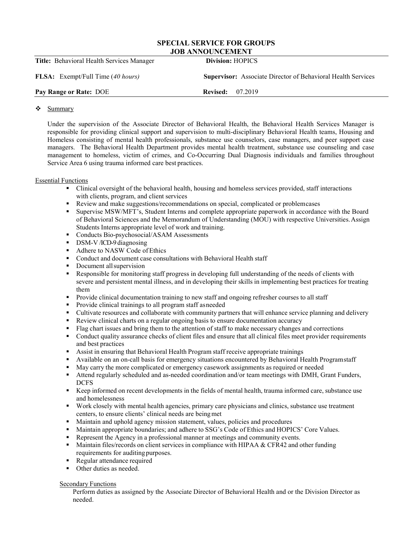## **SPECIAL SERVICE FOR GROUPS JOB ANNOUNCEMENT**

| <b>Title:</b> Behavioral Health Services Manager | <b>Division: HOPICS</b>                                             |
|--------------------------------------------------|---------------------------------------------------------------------|
| <b>FLSA:</b> Exempt/Full Time (40 hours)         | <b>Supervisor:</b> Associate Director of Behavioral Health Services |
| Pay Range or Rate: DOE                           | <b>Revised:</b> 07.2019                                             |
|                                                  |                                                                     |

## ❖ Summary

Under the supervision of the Associate Director of Behavioral Health, the Behavioral Health Services Manager is responsible for providing clinical support and supervision to multi-disciplinary Behavioral Health teams, Housing and Homeless consisting of mental health professionals, substance use counselors, case managers, and peer support case managers. The Behavioral Health Department provides mental health treatment, substance use counseling and case management to homeless, victim of crimes, and Co-Occurring Dual Diagnosis individuals and families throughout Service Area 6 using trauma informed care best practices.

## Essential Functions

- Clinical oversight of the behavioral health, housing and homeless services provided, staff interactions with clients, program, and client services
- **Review and make suggestions/recommendations on special, complicated or problemcases**<br>**Review Supervise MSW/MFT's. Student Interns and complete appropriate paperwork in accordance**
- Supervise MSW/MFT's, Student Interns and complete appropriate paperwork in accordance with the Board of Behavioral Sciences and the Memorandum of Understanding (MOU) with respective Universities.Assign Students Interns appropriate level of work and training.
- Conducts Bio-psychosocial/ASAM Assessments
- DSM-V/ICD-9 diagnosing
- Adhere to NASW Code ofEthics
- Conduct and document case consultations with Behavioral Health staff
- Document all supervision
- Responsible for monitoring staff progress in developing full understanding of the needs of clients with severe and persistent mental illness, and in developing their skills in implementing best practices for treating them
- **Provide clinical documentation training to new staff and ongoing refresher courses to all staff**<br>**Provide clinical trainings to all program staff as needed**
- Provide clinical trainings to all program staff asneeded
- Cultivate resources and collaborate with community partners that will enhance service planning and delivery
- Review clinical charts on a regular ongoing basis to ensure documentation accuracy
- Flag chart issues and bring them to the attention of staff to make necessary changes and corrections
- Conduct quality assurance checks of client files and ensure that all clinical files meet provider requirements and best practices
- Assist in ensuring that Behavioral Health Program staff receive appropriate trainings
- Available on an on-call basis for emergency situations encountered by Behavioral Health Programstaff
- May carry the more complicated or emergency casework assignments as required or needed
- Attend regularly scheduled and as-needed coordination and/or team meetings with DMH, Grant Funders, DCFS
- Keep informed on recent developments in the fields of mental health, trauma informed care, substance use and homelessness
- Work closely with mental health agencies, primary care physicians and clinics, substance use treatment centers, to ensure clients' clinical needs are beingmet
- Maintain and uphold agency mission statement, values, policies and procedures
- Maintain appropriate boundaries; and adhere to SSG's Code of Ethics and HOPICS' Core Values.
- Represent the Agency in a professional manner at meetings and community events.
- Maintain files/records on client services in compliance with HIPAA  $&$  CFR42 and other funding requirements for auditingpurposes.
- Regular attendance required
- Other duties as needed.

## **Secondary Functions**

Perform duties as assigned by the Associate Director of Behavioral Health and or the Division Director as needed.